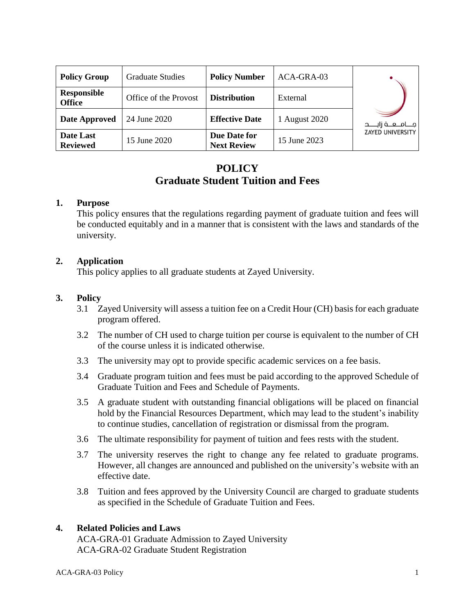| <b>Policy Group</b>          | <b>Graduate Studies</b> | <b>Policy Number</b>               | ACA-GRA-03    |                         |
|------------------------------|-------------------------|------------------------------------|---------------|-------------------------|
| Responsible<br><b>Office</b> | Office of the Provost   | <b>Distribution</b>                | External      |                         |
| Date Approved                | 24 June 2020            | <b>Effective Date</b>              | 1 August 2020 | مـــامـــــه أالــــــد |
| Date Last<br><b>Reviewed</b> | 15 June 2020            | Due Date for<br><b>Next Review</b> | 15 June 2023  | <b>ZAYED UNIVERSITY</b> |

# **POLICY Graduate Student Tuition and Fees**

#### **1. Purpose**

This policy ensures that the regulations regarding payment of graduate tuition and fees will be conducted equitably and in a manner that is consistent with the laws and standards of the university.

### **2. Application**

This policy applies to all graduate students at Zayed University.

### **3. Policy**

- 3.1 Zayed University will assess a tuition fee on a Credit Hour (CH) basis for each graduate program offered.
- 3.2 The number of CH used to charge tuition per course is equivalent to the number of CH of the course unless it is indicated otherwise.
- 3.3 The university may opt to provide specific academic services on a fee basis.
- 3.4 Graduate program tuition and fees must be paid according to the approved Schedule of Graduate Tuition and Fees and Schedule of Payments.
- 3.5 A graduate student with outstanding financial obligations will be placed on financial hold by the Financial Resources Department, which may lead to the student's inability to continue studies, cancellation of registration or dismissal from the program.
- 3.6 The ultimate responsibility for payment of tuition and fees rests with the student.
- 3.7 The university reserves the right to change any fee related to graduate programs. However, all changes are announced and published on the university's website with an effective date.
- 3.8 Tuition and fees approved by the University Council are charged to graduate students as specified in the Schedule of Graduate Tuition and Fees.

#### **4. Related Policies and Laws**

ACA-GRA-01 Graduate Admission to Zayed University ACA-GRA-02 Graduate Student Registration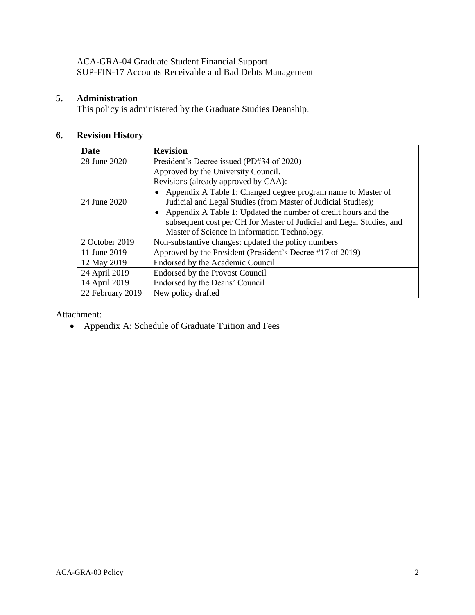ACA-GRA-04 Graduate Student Financial Support SUP-FIN-17 Accounts Receivable and Bad Debts Management

### **5. Administration**

This policy is administered by the Graduate Studies Deanship.

## **6. Revision History**

| <b>Date</b>      | <b>Revision</b>                                                      |  |  |
|------------------|----------------------------------------------------------------------|--|--|
| 28 June 2020     | President's Decree issued (PD#34 of 2020)                            |  |  |
|                  | Approved by the University Council.                                  |  |  |
| 24 June 2020     | Revisions (already approved by CAA):                                 |  |  |
|                  | Appendix A Table 1: Changed degree program name to Master of         |  |  |
|                  | Judicial and Legal Studies (from Master of Judicial Studies);        |  |  |
|                  | Appendix A Table 1: Updated the number of credit hours and the       |  |  |
|                  | subsequent cost per CH for Master of Judicial and Legal Studies, and |  |  |
|                  | Master of Science in Information Technology.                         |  |  |
| 2 October 2019   | Non-substantive changes: updated the policy numbers                  |  |  |
| 11 June 2019     | Approved by the President (President's Decree #17 of 2019)           |  |  |
| 12 May 2019      | Endorsed by the Academic Council                                     |  |  |
| 24 April 2019    | <b>Endorsed by the Provost Council</b>                               |  |  |
| 14 April 2019    | Endorsed by the Deans' Council                                       |  |  |
| 22 February 2019 | New policy drafted                                                   |  |  |

Attachment:

• Appendix A: Schedule of Graduate Tuition and Fees